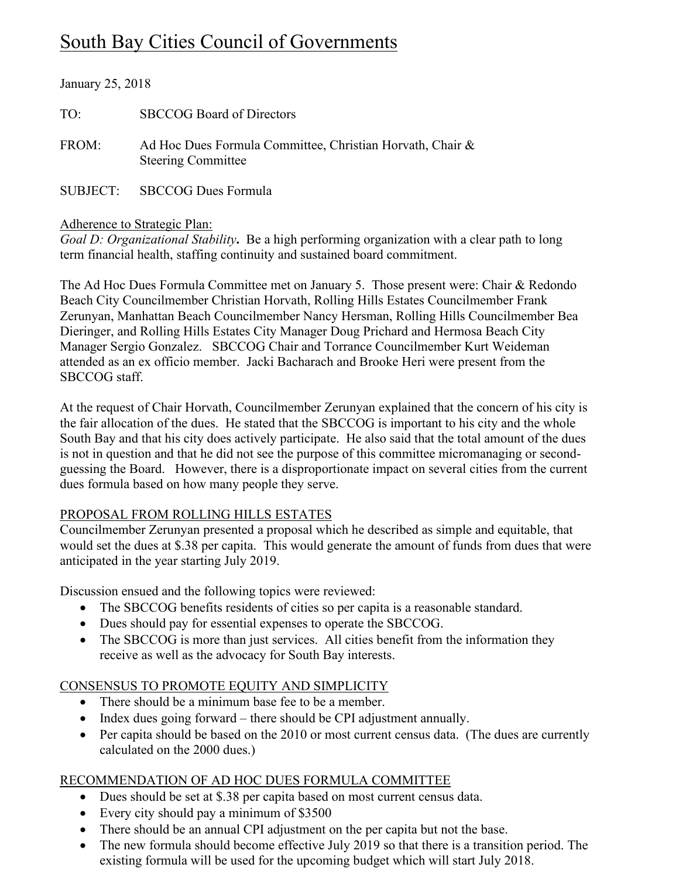# South Bay Cities Council of Governments

| January 25, 2018 |                                                                                        |
|------------------|----------------------------------------------------------------------------------------|
| TO:              | <b>SBCCOG Board of Directors</b>                                                       |
| FROM:            | Ad Hoc Dues Formula Committee, Christian Horvath, Chair &<br><b>Steering Committee</b> |
|                  | SUBJECT: SBCCOG Dues Formula                                                           |

### Adherence to Strategic Plan:

*Goal D: Organizational Stability*. Be a high performing organization with a clear path to long term financial health, staffing continuity and sustained board commitment.

The Ad Hoc Dues Formula Committee met on January 5. Those present were: Chair & Redondo Beach City Councilmember Christian Horvath, Rolling Hills Estates Councilmember Frank Zerunyan, Manhattan Beach Councilmember Nancy Hersman, Rolling Hills Councilmember Bea Dieringer, and Rolling Hills Estates City Manager Doug Prichard and Hermosa Beach City Manager Sergio Gonzalez. SBCCOG Chair and Torrance Councilmember Kurt Weideman attended as an ex officio member. Jacki Bacharach and Brooke Heri were present from the SBCCOG staff.

At the request of Chair Horvath, Councilmember Zerunyan explained that the concern of his city is the fair allocation of the dues. He stated that the SBCCOG is important to his city and the whole South Bay and that his city does actively participate. He also said that the total amount of the dues is not in question and that he did not see the purpose of this committee micromanaging or secondguessing the Board. However, there is a disproportionate impact on several cities from the current dues formula based on how many people they serve.

# PROPOSAL FROM ROLLING HILLS ESTATES

Councilmember Zerunyan presented a proposal which he described as simple and equitable, that would set the dues at \$.38 per capita. This would generate the amount of funds from dues that were anticipated in the year starting July 2019.

Discussion ensued and the following topics were reviewed:

- The SBCCOG benefits residents of cities so per capita is a reasonable standard.
- Dues should pay for essential expenses to operate the SBCCOG.
- The SBCCOG is more than just services. All cities benefit from the information they receive as well as the advocacy for South Bay interests.

# CONSENSUS TO PROMOTE EQUITY AND SIMPLICITY

- There should be a minimum base fee to be a member.
- Index dues going forward there should be CPI adjustment annually.
- Per capita should be based on the 2010 or most current census data. (The dues are currently calculated on the 2000 dues.)

# RECOMMENDATION OF AD HOC DUES FORMULA COMMITTEE

- Dues should be set at \$.38 per capita based on most current census data.
- Every city should pay a minimum of \$3500
- There should be an annual CPI adjustment on the per capita but not the base.
- The new formula should become effective July 2019 so that there is a transition period. The existing formula will be used for the upcoming budget which will start July 2018.